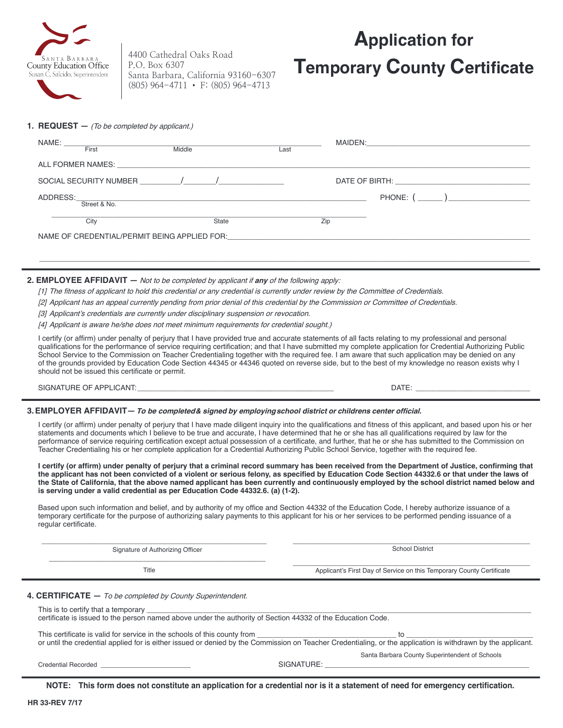

4400 Cathedral Oaks Road P.O. Box 6307 Santa Barbara, California 93160-6307 (805) 964-4711 • F: (805) 964-4713

# **Application for Temporary County Certificate**

**1. REQUEST —** (To be completed by applicant.)

| NAME:<br>First                                                 | Middle                                                                                                                                                                                                                                                                                                              | MAIDEN:<br>Last                                                                                                                                                                                                               | <u> 1980 - Jan Berlin, Amerikaansk konstantinopler († 1901)</u> |  |
|----------------------------------------------------------------|---------------------------------------------------------------------------------------------------------------------------------------------------------------------------------------------------------------------------------------------------------------------------------------------------------------------|-------------------------------------------------------------------------------------------------------------------------------------------------------------------------------------------------------------------------------|-----------------------------------------------------------------|--|
|                                                                |                                                                                                                                                                                                                                                                                                                     |                                                                                                                                                                                                                               |                                                                 |  |
| ALL FORMER NAMES:                                              | <u> 1989 - Johann Johann Harry Harry Harry Harry Harry Harry Harry Harry Harry Harry Harry Harry Harry Harry Harry</u>                                                                                                                                                                                              |                                                                                                                                                                                                                               |                                                                 |  |
| SOCIAL SECURITY NUMBER                                         | $\frac{1}{2}$ $\frac{1}{2}$ $\frac{1}{2}$ $\frac{1}{2}$ $\frac{1}{2}$ $\frac{1}{2}$ $\frac{1}{2}$ $\frac{1}{2}$ $\frac{1}{2}$ $\frac{1}{2}$ $\frac{1}{2}$ $\frac{1}{2}$ $\frac{1}{2}$ $\frac{1}{2}$ $\frac{1}{2}$ $\frac{1}{2}$ $\frac{1}{2}$ $\frac{1}{2}$ $\frac{1}{2}$ $\frac{1}{2}$ $\frac{1}{2}$ $\frac{1}{2}$ | DATE OF BIRTH: New York Contract the Contract of the Contract of the Contract of the Contract of the Contract of the Contract of the Contract of the Contract of the Contract of the Contract of the Contract of the Contract |                                                                 |  |
| ADDRESS:                                                       | <u> 1989 - Jan Samuel Barbara, margaret eta bat zen bat zuen bat zen bat zen bat zen bat zen bat zen bat zen ba</u>                                                                                                                                                                                                 |                                                                                                                                                                                                                               | PHONE: (                                                        |  |
| Street & No.                                                   |                                                                                                                                                                                                                                                                                                                     |                                                                                                                                                                                                                               |                                                                 |  |
| City                                                           | State                                                                                                                                                                                                                                                                                                               | Zip                                                                                                                                                                                                                           |                                                                 |  |
| NAME OF CREDENTIAL/PERMIT BEING APPLIED FOR: NAME OF CREDITIAL |                                                                                                                                                                                                                                                                                                                     |                                                                                                                                                                                                                               |                                                                 |  |
|                                                                |                                                                                                                                                                                                                                                                                                                     |                                                                                                                                                                                                                               |                                                                 |  |

\_\_\_\_\_\_\_\_\_\_\_\_\_\_\_\_\_\_\_\_\_\_\_\_\_\_\_\_\_\_\_\_\_\_\_\_\_\_\_\_\_\_\_\_\_\_\_\_\_\_\_\_\_\_\_\_\_\_\_\_\_\_\_\_\_\_\_\_\_\_\_\_\_\_\_\_\_\_\_\_\_\_\_\_\_\_\_\_\_\_\_\_\_\_\_\_\_\_\_\_\_\_\_\_\_\_\_\_\_\_\_\_\_\_\_\_\_\_\_\_

### **2. EMPLOYEE AFFIDAVIT —** Not to be completed by applicant if **any** of the following apply:

[1] The fitness of applicant to hold this credential or any credential is currently under review by the Committee of Credentials.

[2] Applicant has an appeal currently pending from prior denial of this credential by the Commission or Committee of Credentials.

[3] Applicant's credentials are currently under disciplinary suspension or revocation.

[4] Applicant is aware he/she does not meet minimum requirements for credential sought.)

I certify (or affirm) under penalty of perjury that I have provided true and accurate statements of all facts relating to my professional and personal qualifications for the performance of service requiring certification; and that I have submitted my complete application for Credential Authorizing Public School Service to the Commission on Teacher Credentialing together with the required fee. I am aware that such application may be denied on any of the grounds provided by Education Code Section 44345 or 44346 quoted on reverse side, but to the best of my knowledge no reason exists why I should not be issued this certificate or permit.

SIGNATURE OF APPLICANT: \_\_\_\_\_\_\_\_\_\_\_\_\_\_\_\_\_\_\_\_\_\_\_\_\_\_\_\_\_\_\_\_\_\_\_\_\_\_\_\_\_\_\_\_\_\_\_\_ DATE: \_\_\_\_\_\_\_\_\_\_\_\_\_\_\_\_\_\_\_\_\_\_\_\_\_\_\_\_

### **3. EMPLOYER AFFIDAVIT** — To be completed & signed by employing school district or childrens center official.

I certify (or affirm) under penalty of perjury that I have made diligent inquiry into the qualifications and fitness of this applicant, and based upon his or her statements and documents which I believe to be true and accurate, I have determined that he or she has all qualifications required by law for the performance of service requiring certification except actual possession of a certificate, and further, that he or she has submitted to the Commission on Teacher Credentialing his or her complete application for a Credential Authorizing Public School Service, together with the required fee.

I certify (or affirm) under penalty of perjury that a criminal record summary has been received from the Department of Justice, confirming that the applicant has not been convicted of a violent or serious felony, as specified by Education Code Section 44332.6 or that under the laws of **the State of California, that the above named applicant has been currently and continuously employed by the school district named below and is serving under a valid credential as per Education Code 44332.6. (a) (1-2).**

Based upon such information and belief, and by authority of my office and Section 44332 of the Education Code. I hereby authorize issuance of a temporary certificate for the purpose of authorizing salary payments to this applicant for his or her services to be performed pending issuance of a regular certificate.

| Signature of Authorizing Officer | <b>School District</b>                                                |  |
|----------------------------------|-----------------------------------------------------------------------|--|
| Title                            | Applicant's First Day of Service on this Temporary County Certificate |  |

4. **CERTIFICATE** - To be completed by County Superintendent.

| This is to certify that a temporary<br>certificate is issued to the person named above under the authority of Section 44332 of the Education Code.                                                                                       |
|------------------------------------------------------------------------------------------------------------------------------------------------------------------------------------------------------------------------------------------|
| This certificate is valid for service in the schools of this county from<br>or until the credential applied for is either issued or denied by the Commission on Teacher Credentialing, or the application is withdrawn by the applicant. |
| Capta Parhara County Cuparintendent of Caboole                                                                                                                                                                                           |

Santa Barbara County Superintendent of Schools

**NOTE:** This form does not constitute an application for a credential nor is it a statement of need for emergency certification.